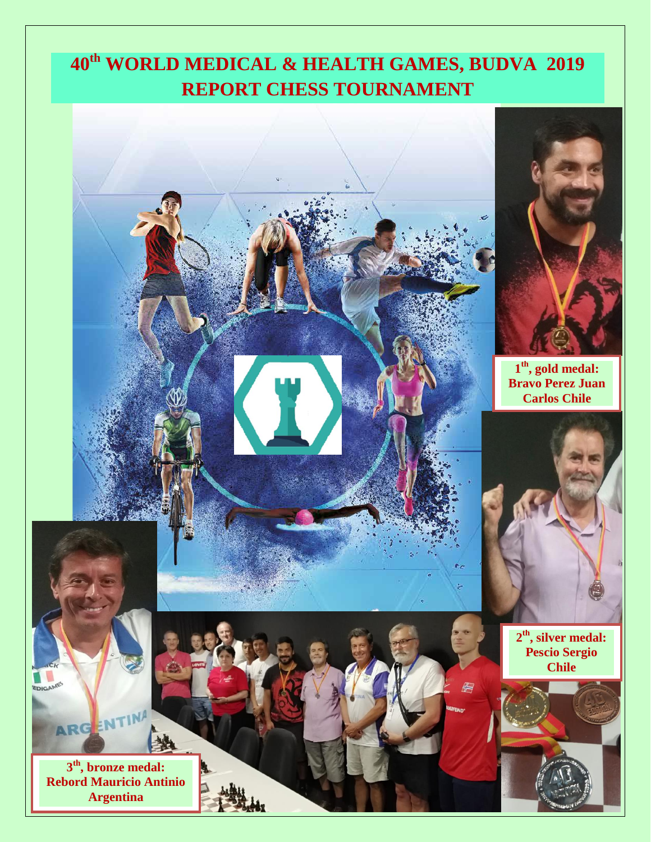## **40th WORLD MEDICAL & HEALTH GAMES, BUDVA 2019 REPORT CHESS TOURNAMENT**

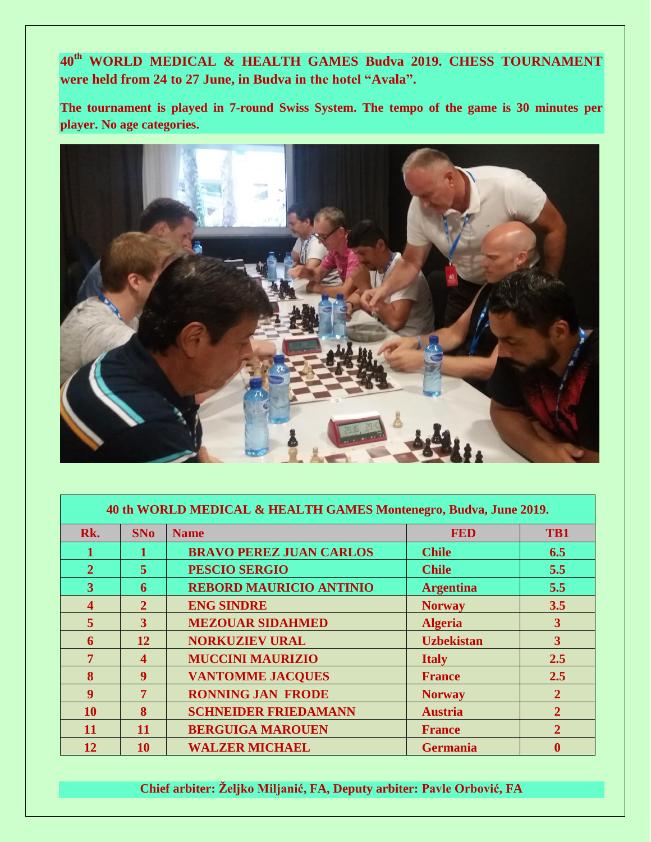**th WORLD MEDICAL & HEALTH GAMES Budva 2019. CHESS TOURNAMENT were held from 24 to 27 June, in Budva in the hotel "Avala".**

**The tournament is played in 7-round Swiss System. The tempo of the game is 30 minutes per player. No age categories.**



| 40 th WORLD MEDICAL & HEALTH GAMES Montenegro, Budva, June 2019. |                       |                                |                   |                |
|------------------------------------------------------------------|-----------------------|--------------------------------|-------------------|----------------|
| Rk.                                                              | <b>SNo</b>            | <b>Name</b>                    | <b>FED</b>        | TB1            |
|                                                                  |                       | <b>BRAVO PEREZ JUAN CARLOS</b> | <b>Chile</b>      | 6.5            |
| $\mathbf{2}$                                                     | 5                     | <b>PESCIO SERGIO</b>           | <b>Chile</b>      | 5.5            |
| 3                                                                | 6                     | <b>REBORD MAURICIO ANTINIO</b> | <b>Argentina</b>  | 5.5            |
| 4                                                                | $\overline{2}$        | <b>ENG SINDRE</b>              | <b>Norway</b>     | 3.5            |
| $\overline{5}$                                                   | 3                     | <b>MEZOUAR SIDAHMED</b>        | <b>Algeria</b>    | 3              |
| 6                                                                | 12                    | <b>NORKUZIEV URAL</b>          | <b>Uzbekistan</b> | 3              |
| $\overline{7}$                                                   | $\boldsymbol{\Delta}$ | <b>MUCCINI MAURIZIO</b>        | <b>Italy</b>      | 2.5            |
| 8                                                                | 9                     | <b>VANTOMME JACQUES</b>        | <b>France</b>     | 2.5            |
| 9                                                                | 7                     | <b>RONNING JAN FRODE</b>       | <b>Norway</b>     | $\mathbf{2}$   |
| <b>10</b>                                                        | 8                     | <b>SCHNEIDER FRIEDAMANN</b>    | <b>Austria</b>    | $\overline{2}$ |
| 11                                                               | <b>11</b>             | <b>BERGUIGA MAROUEN</b>        | <b>France</b>     | $\overline{2}$ |
| 12                                                               | 10                    | <b>WALZER MICHAEL</b>          | <b>Germania</b>   |                |

**Chief arbiter: Željko Miljanić, FA, Deputy arbiter: Pavle Orbović, FA**